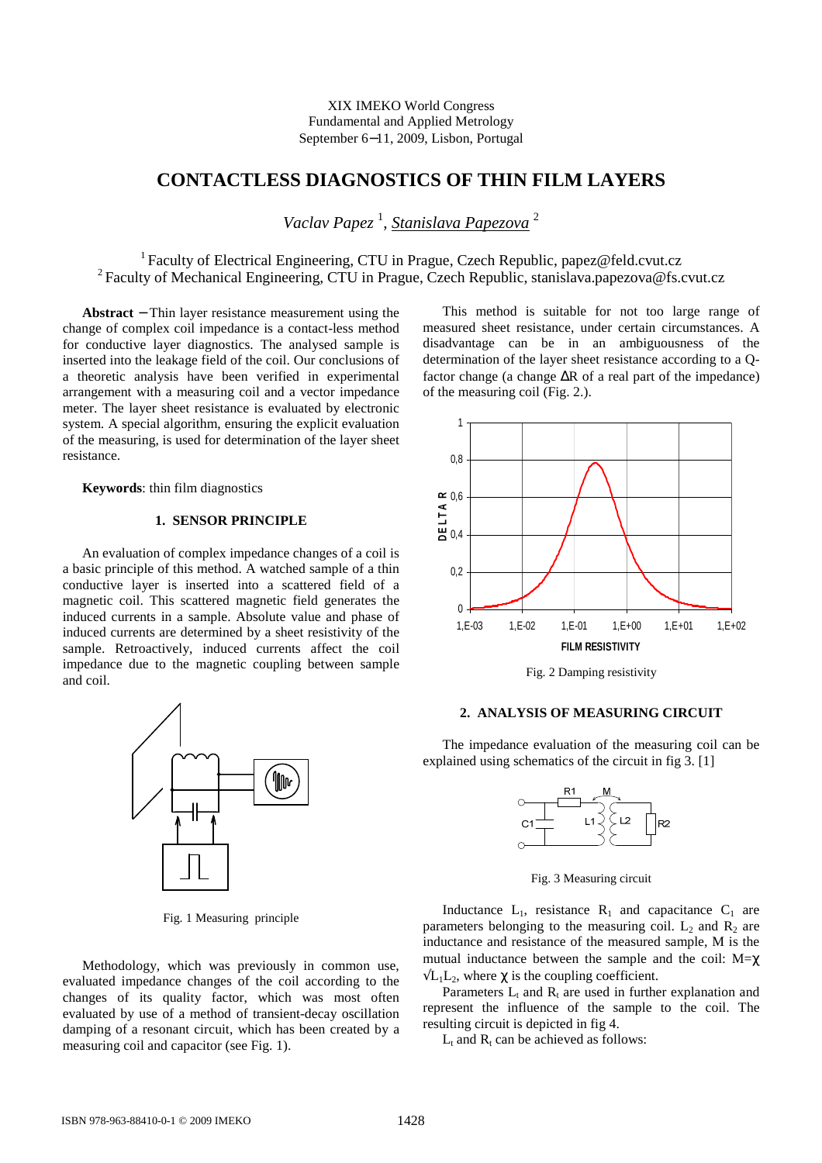## XIX IMEKO World Congress Fundamental and Applied Metrology September 6−11, 2009, Lisbon, Portugal

# **CONTACTLESS DIAGNOSTICS OF THIN FILM LAYERS**

*Vaclav Papez* <sup>1</sup> , *Stanislava Papezova* <sup>2</sup>

<sup>1</sup>Faculty of Electrical Engineering, CTU in Prague, Czech Republic, papez@feld.cvut.cz <sup>2</sup> Faculty of Mechanical Engineering, CTU in Prague, Czech Republic, stanislava.papezova@fs.cvut.cz

**Abstract** − Thin layer resistance measurement using the change of complex coil impedance is a contact-less method for conductive layer diagnostics. The analysed sample is inserted into the leakage field of the coil. Our conclusions of a theoretic analysis have been verified in experimental arrangement with a measuring coil and a vector impedance meter. The layer sheet resistance is evaluated by electronic system. A special algorithm, ensuring the explicit evaluation of the measuring, is used for determination of the layer sheet resistance.

**Keywords**: thin film diagnostics

# **1. SENSOR PRINCIPLE**

An evaluation of complex impedance changes of a coil is a basic principle of this method. A watched sample of a thin conductive layer is inserted into a scattered field of a magnetic coil. This scattered magnetic field generates the induced currents in a sample. Absolute value and phase of induced currents are determined by a sheet resistivity of the sample. Retroactively, induced currents affect the coil impedance due to the magnetic coupling between sample and coil.



Fig. 1 Measuring principle

Methodology, which was previously in common use, evaluated impedance changes of the coil according to the changes of its quality factor, which was most often evaluated by use of a method of transient-decay oscillation damping of a resonant circuit, which has been created by a measuring coil and capacitor (see Fig. 1).

This method is suitable for not too large range of measured sheet resistance, under certain circumstances. A disadvantage can be in an ambiguousness of the determination of the layer sheet resistance according to a Qfactor change (a change ∆R of a real part of the impedance) of the measuring coil (Fig. 2.).



Fig. 2 Damping resistivity

## **2. ANALYSIS OF MEASURING CIRCUIT**

The impedance evaluation of the measuring coil can be explained using schematics of the circuit in fig 3. [1]



Fig. 3 Measuring circuit

Inductance  $L_1$ , resistance  $R_1$  and capacitance  $C_1$  are parameters belonging to the measuring coil.  $L_2$  and  $R_2$  are inductance and resistance of the measured sample, M is the mutual inductance between the sample and the coil:  $M = \chi$  $\sqrt{L_1L_2}$ , where  $\gamma$  is the coupling coefficient.

Parameters  $L_t$  and  $R_t$  are used in further explanation and represent the influence of the sample to the coil. The resulting circuit is depicted in fig 4.

 $L_t$  and  $R_t$  can be achieved as follows: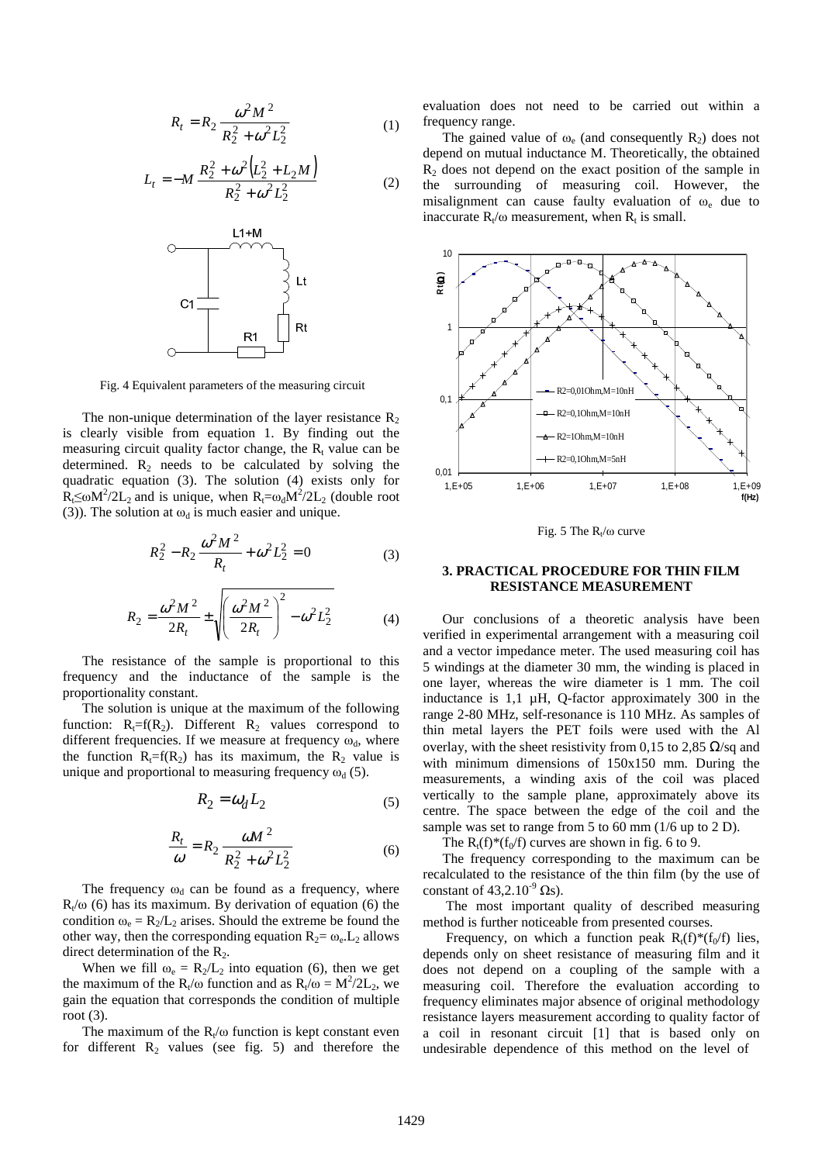$$
R_t = R_2 \frac{\omega^2 M^2}{R_2^2 + \omega^2 L_2^2}
$$
 (1)

$$
L_t = -M \frac{R_2^2 + \omega^2 (L_2^2 + L_2 M)}{R_2^2 + \omega^2 L_2^2}
$$
 (2)



Fig. 4 Equivalent parameters of the measuring circuit

The non-unique determination of the layer resistance  $R_2$ is clearly visible from equation 1. By finding out the measuring circuit quality factor change, the  $R_t$  value can be determined.  $R_2$  needs to be calculated by solving the quadratic equation (3). The solution (4) exists only for  $R_1 \leq \omega M^2 / 2L_2$  and is unique, when  $R_1 = \omega_d M^2 / 2L_2$  (double root (3)). The solution at  $\omega_d$  is much easier and unique.

$$
R_2^2 - R_2 \frac{\omega^2 M^2}{R_t} + \omega^2 L_2^2 = 0
$$
 (3)

$$
R_2 = \frac{\omega^2 M^2}{2R_t} \pm \sqrt{\left(\frac{\omega^2 M^2}{2R_t}\right)^2 - \omega^2 L_2^2}
$$
 (4)

The resistance of the sample is proportional to this frequency and the inductance of the sample is the proportionality constant.

The solution is unique at the maximum of the following function:  $R_1 = f(R_2)$ . Different  $R_2$  values correspond to different frequencies. If we measure at frequency  $\omega_d$ , where the function  $R_1 = f(R_2)$  has its maximum, the  $R_2$  value is unique and proportional to measuring frequency  $\omega_d$  (5).

$$
R_2 = \omega_d L_2 \tag{5}
$$

$$
\frac{R_t}{\omega} = R_2 \frac{\omega M^2}{R_2^2 + \omega^2 L_2^2}
$$
 (6)

The frequency  $\omega_d$  can be found as a frequency, where  $R_t/\omega$  (6) has its maximum. By derivation of equation (6) the condition  $\omega_e = R_2/L_2$  arises. Should the extreme be found the other way, then the corresponding equation  $R_2 = \omega_e L_2$  allows direct determination of the  $R_2$ .

When we fill  $\omega_e = R_2/L_2$  into equation (6), then we get the maximum of the R<sub>t</sub>/ $\omega$  function and as R<sub>t</sub>/ $\omega = M^2/2L_2$ , we gain the equation that corresponds the condition of multiple root (3).

The maximum of the  $R_t/\omega$  function is kept constant even for different  $R_2$  values (see fig. 5) and therefore the

evaluation does not need to be carried out within a frequency range.

The gained value of  $\omega_e$  (and consequently  $R_2$ ) does not depend on mutual inductance M. Theoretically, the obtained  $R<sub>2</sub>$  does not depend on the exact position of the sample in the surrounding of measuring coil. However, the misalignment can cause faulty evaluation of  $\omega_e$  due to inaccurate  $R_t/\omega$  measurement, when  $R_t$  is small.



Fig. 5 The  $R_t/\omega$  curve

### **3. PRACTICAL PROCEDURE FOR THIN FILM RESISTANCE MEASUREMENT**

Our conclusions of a theoretic analysis have been verified in experimental arrangement with a measuring coil and a vector impedance meter. The used measuring coil has 5 windings at the diameter 30 mm, the winding is placed in one layer, whereas the wire diameter is 1 mm. The coil inductance is 1,1 µH, Q-factor approximately 300 in the range 2-80 MHz, self-resonance is 110 MHz. As samples of thin metal layers the PET foils were used with the Al overlay, with the sheet resistivity from 0,15 to 2,85  $\Omega$ /sq and with minimum dimensions of 150x150 mm. During the measurements, a winding axis of the coil was placed vertically to the sample plane, approximately above its centre. The space between the edge of the coil and the sample was set to range from 5 to 60 mm (1/6 up to 2 D).

The  $R_t(f)^*(f_0/f)$  curves are shown in fig. 6 to 9.

The frequency corresponding to the maximum can be recalculated to the resistance of the thin film (by the use of constant of  $43,2.10^{-9}$   $\Omega$ s).

 The most important quality of described measuring method is further noticeable from presented courses.

Frequency, on which a function peak  $R_t(f)^*(f_0/f)$  lies, depends only on sheet resistance of measuring film and it does not depend on a coupling of the sample with a measuring coil. Therefore the evaluation according to frequency eliminates major absence of original methodology resistance layers measurement according to quality factor of a coil in resonant circuit [1] that is based only on undesirable dependence of this method on the level of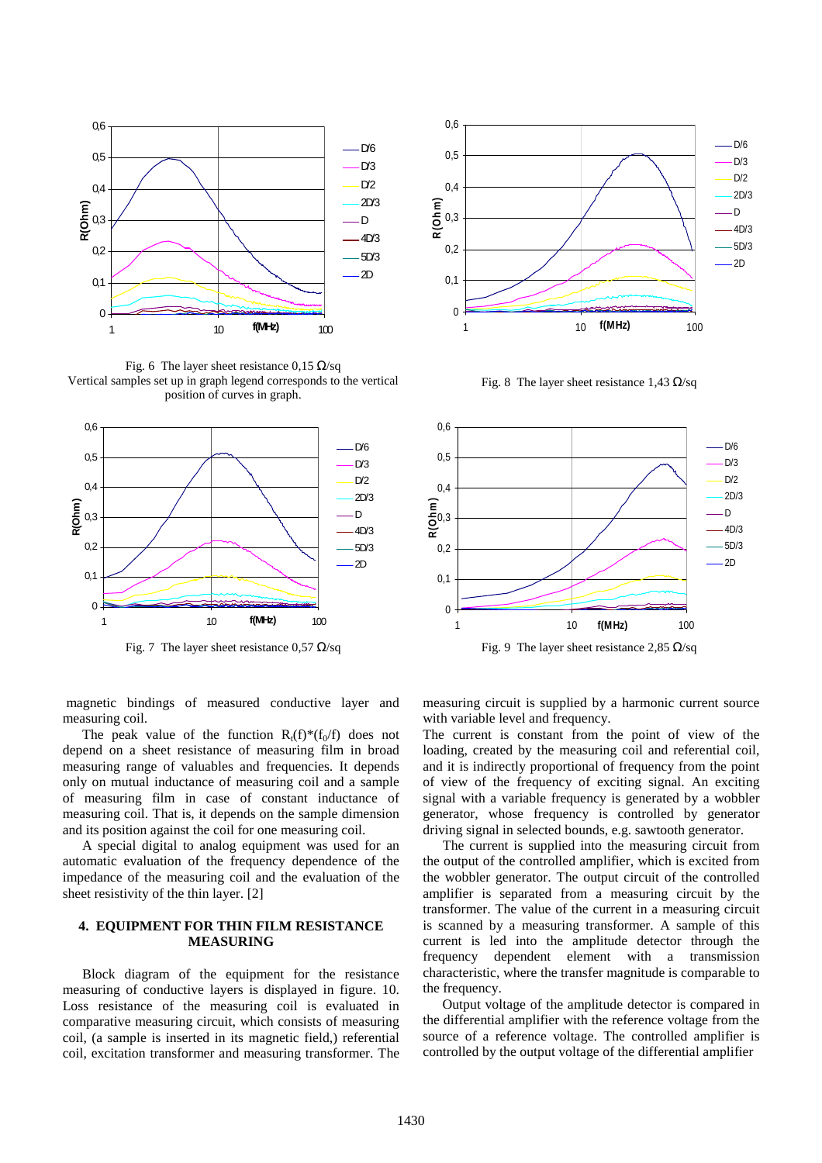

Fig. 6 The layer sheet resistance 0,15  $\Omega$ /sq Vertical samples set up in graph legend corresponds to the vertical position of curves in graph.





Fig. 8 The layer sheet resistance 1,43  $\Omega$ /sq



Fig. 7 The layer sheet resistance 0.57  $\Omega$ /sq Fig. 9 The layer sheet resistance 2.85  $\Omega$ /sq

 magnetic bindings of measured conductive layer and measuring coil.

The peak value of the function  $R_t(f)^*(f_0/f)$  does not depend on a sheet resistance of measuring film in broad measuring range of valuables and frequencies. It depends only on mutual inductance of measuring coil and a sample of measuring film in case of constant inductance of measuring coil. That is, it depends on the sample dimension and its position against the coil for one measuring coil.

A special digital to analog equipment was used for an automatic evaluation of the frequency dependence of the impedance of the measuring coil and the evaluation of the sheet resistivity of the thin layer. [2]

### **4. EQUIPMENT FOR THIN FILM RESISTANCE MEASURING**

Block diagram of the equipment for the resistance measuring of conductive layers is displayed in figure. 10. Loss resistance of the measuring coil is evaluated in comparative measuring circuit, which consists of measuring coil, (a sample is inserted in its magnetic field,) referential coil, excitation transformer and measuring transformer. The

measuring circuit is supplied by a harmonic current source with variable level and frequency.

The current is constant from the point of view of the loading, created by the measuring coil and referential coil, and it is indirectly proportional of frequency from the point of view of the frequency of exciting signal. An exciting signal with a variable frequency is generated by a wobbler generator, whose frequency is controlled by generator driving signal in selected bounds, e.g. sawtooth generator.

The current is supplied into the measuring circuit from the output of the controlled amplifier, which is excited from the wobbler generator. The output circuit of the controlled amplifier is separated from a measuring circuit by the transformer. The value of the current in a measuring circuit is scanned by a measuring transformer. A sample of this current is led into the amplitude detector through the frequency dependent element with a transmission characteristic, where the transfer magnitude is comparable to the frequency.

Output voltage of the amplitude detector is compared in the differential amplifier with the reference voltage from the source of a reference voltage. The controlled amplifier is controlled by the output voltage of the differential amplifier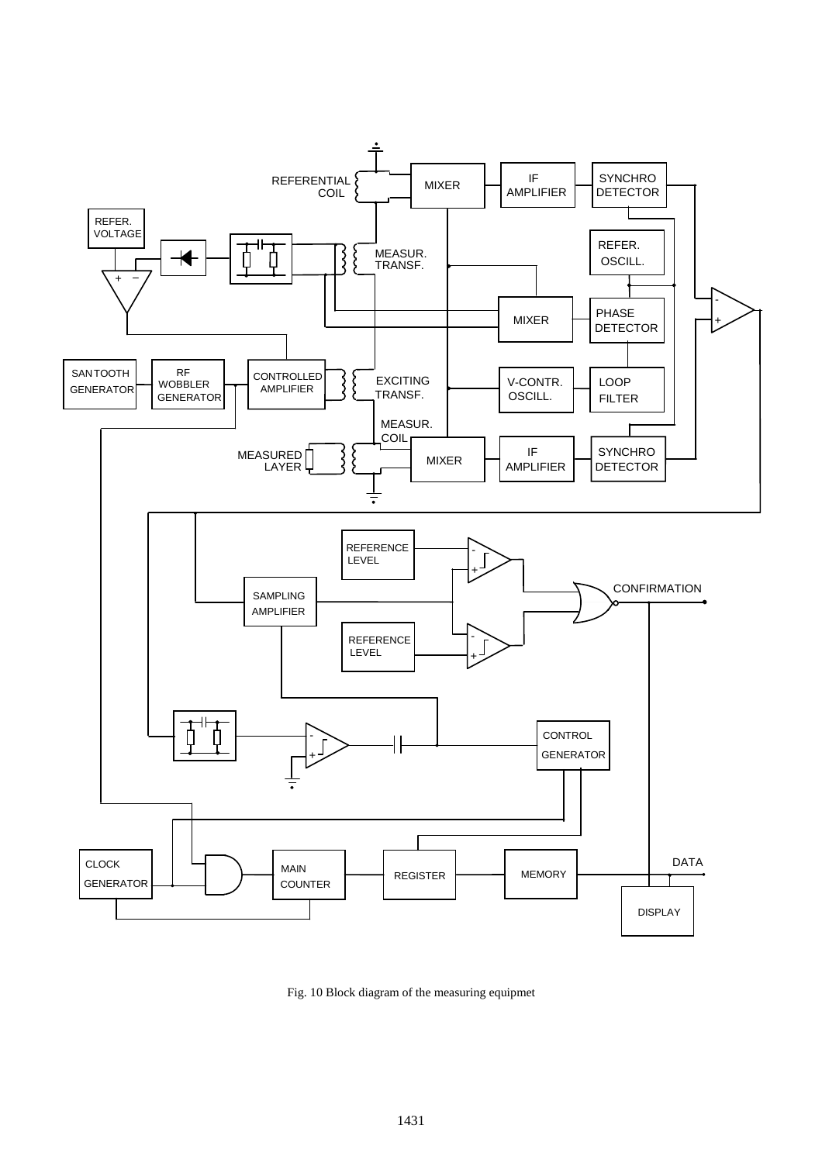

Fig. 10 Block diagram of the measuring equipmet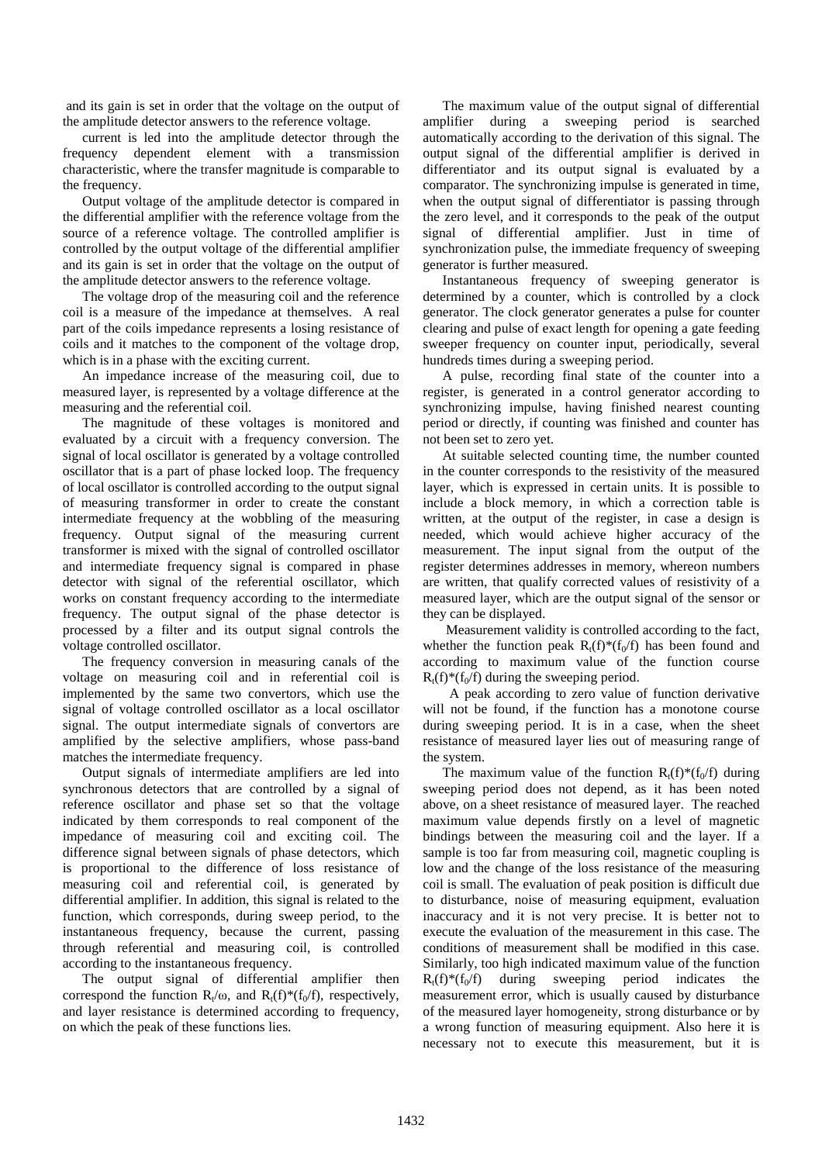and its gain is set in order that the voltage on the output of the amplitude detector answers to the reference voltage.

current is led into the amplitude detector through the frequency dependent element with a transmission characteristic, where the transfer magnitude is comparable to the frequency.

Output voltage of the amplitude detector is compared in the differential amplifier with the reference voltage from the source of a reference voltage. The controlled amplifier is controlled by the output voltage of the differential amplifier and its gain is set in order that the voltage on the output of the amplitude detector answers to the reference voltage.

The voltage drop of the measuring coil and the reference coil is a measure of the impedance at themselves. A real part of the coils impedance represents a losing resistance of coils and it matches to the component of the voltage drop, which is in a phase with the exciting current.

An impedance increase of the measuring coil, due to measured layer, is represented by a voltage difference at the measuring and the referential coil.

The magnitude of these voltages is monitored and evaluated by a circuit with a frequency conversion. The signal of local oscillator is generated by a voltage controlled oscillator that is a part of phase locked loop. The frequency of local oscillator is controlled according to the output signal of measuring transformer in order to create the constant intermediate frequency at the wobbling of the measuring frequency. Output signal of the measuring current transformer is mixed with the signal of controlled oscillator and intermediate frequency signal is compared in phase detector with signal of the referential oscillator, which works on constant frequency according to the intermediate frequency. The output signal of the phase detector is processed by a filter and its output signal controls the voltage controlled oscillator.

The frequency conversion in measuring canals of the voltage on measuring coil and in referential coil is implemented by the same two convertors, which use the signal of voltage controlled oscillator as a local oscillator signal. The output intermediate signals of convertors are amplified by the selective amplifiers, whose pass-band matches the intermediate frequency.

Output signals of intermediate amplifiers are led into synchronous detectors that are controlled by a signal of reference oscillator and phase set so that the voltage indicated by them corresponds to real component of the impedance of measuring coil and exciting coil. The difference signal between signals of phase detectors, which is proportional to the difference of loss resistance of measuring coil and referential coil, is generated by differential amplifier. In addition, this signal is related to the function, which corresponds, during sweep period, to the instantaneous frequency, because the current, passing through referential and measuring coil, is controlled according to the instantaneous frequency.

The output signal of differential amplifier then correspond the function  $R_t/\omega$ , and  $R_t(f)^*(f_0/f)$ , respectively, and layer resistance is determined according to frequency, on which the peak of these functions lies.

The maximum value of the output signal of differential amplifier during a sweeping period is searched automatically according to the derivation of this signal. The output signal of the differential amplifier is derived in differentiator and its output signal is evaluated by a comparator. The synchronizing impulse is generated in time, when the output signal of differentiator is passing through the zero level, and it corresponds to the peak of the output signal of differential amplifier. Just in time of synchronization pulse, the immediate frequency of sweeping generator is further measured.

Instantaneous frequency of sweeping generator is determined by a counter, which is controlled by a clock generator. The clock generator generates a pulse for counter clearing and pulse of exact length for opening a gate feeding sweeper frequency on counter input, periodically, several hundreds times during a sweeping period.

A pulse, recording final state of the counter into a register, is generated in a control generator according to synchronizing impulse, having finished nearest counting period or directly, if counting was finished and counter has not been set to zero yet.

At suitable selected counting time, the number counted in the counter corresponds to the resistivity of the measured layer, which is expressed in certain units. It is possible to include a block memory, in which a correction table is written, at the output of the register, in case a design is needed, which would achieve higher accuracy of the measurement. The input signal from the output of the register determines addresses in memory, whereon numbers are written, that qualify corrected values of resistivity of a measured layer, which are the output signal of the sensor or they can be displayed.

 Measurement validity is controlled according to the fact, whether the function peak  $R_t(f)^*(f_0/f)$  has been found and according to maximum value of the function course  $R_t(f) * (f_0/f)$  during the sweeping period.

 A peak according to zero value of function derivative will not be found, if the function has a monotone course during sweeping period. It is in a case, when the sheet resistance of measured layer lies out of measuring range of the system.

The maximum value of the function  $R_t(f) * (f_0/f)$  during sweeping period does not depend, as it has been noted above, on a sheet resistance of measured layer. The reached maximum value depends firstly on a level of magnetic bindings between the measuring coil and the layer. If a sample is too far from measuring coil, magnetic coupling is low and the change of the loss resistance of the measuring coil is small. The evaluation of peak position is difficult due to disturbance, noise of measuring equipment, evaluation inaccuracy and it is not very precise. It is better not to execute the evaluation of the measurement in this case. The conditions of measurement shall be modified in this case. Similarly, too high indicated maximum value of the function  $R_t(f) * (f_0/f)$  during sweeping period indicates the measurement error, which is usually caused by disturbance of the measured layer homogeneity, strong disturbance or by a wrong function of measuring equipment. Also here it is necessary not to execute this measurement, but it is